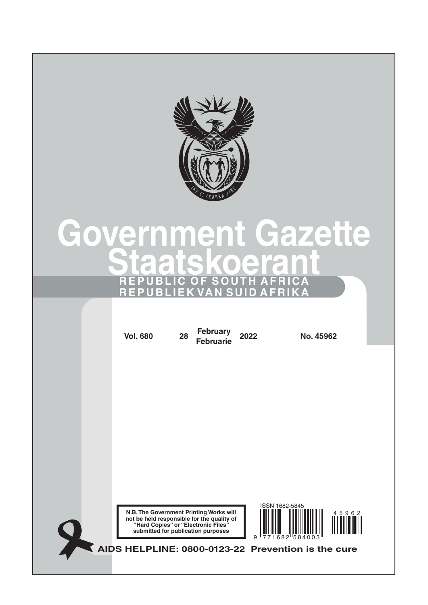

# **Government Gazette Staatskoerant REPUBLIC OF SOUTH AFRICA REPUBLIEK VAN SUID AFRIKA**

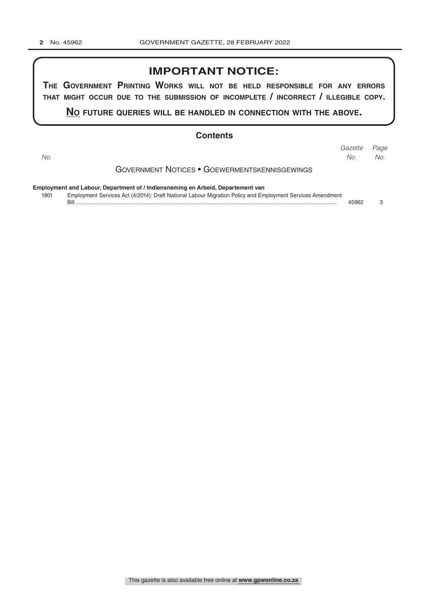# **IMPORTANT NOTICE:**

**The GovernmenT PrinTinG Works Will noT be held resPonsible for any errors ThaT miGhT occur due To The submission of incomPleTe / incorrecT / illeGible coPy.**

**no fuTure queries Will be handled in connecTion WiTh The above.**

#### **Contents**

| ٦ |
|---|

|     |  | Gazette Page |  |
|-----|--|--------------|--|
| No. |  | No. No.      |  |
|     |  |              |  |

Government Notices • Goewermentskennisgewings

**Employment and Labour, Department of / Indiensneming en Arbeid, Departement van**

| 1801 | Employment Services Act (4/2014): Draft National Labour Migration Policy and Employment Services Amendment |  |
|------|------------------------------------------------------------------------------------------------------------|--|
|      |                                                                                                            |  |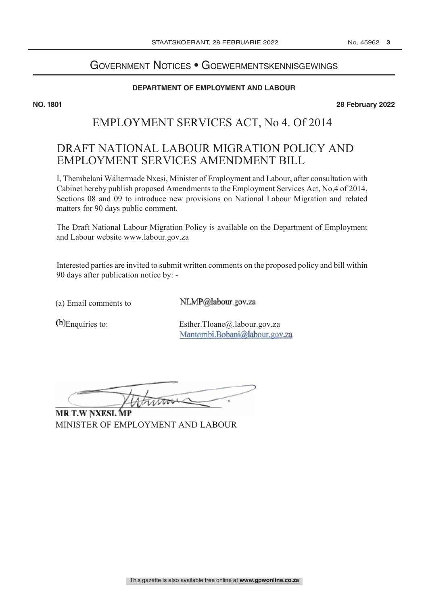# GOVERNMENT NOTICES • GOEWERMENTSKENNISGEWINGS

#### **DEPARTMENT OF EMPLOYMENT AND LABOUR**

**NO. 1801 28 February 2022**

# EMPLOYMENT SERVICES ACT, No 4. Of 2014

# DRAFT NATIONAL LABOUR MIGRATION POLICY AND EMPLOYMENT SERVICES AMENDMENT BILL

I, Thembelani Wáltermade Nxesi, Minister of Employment and Labour, after consultation with Cabinet hereby publish proposed Amendments to the Employment Services Act, No,4 of 2014, Sections 08 and 09 to introduce new provisions on National Labour Migration and related matters for 90 days public comment.

The Draft National Labour Migration Policy is available on the Department of Employment and Labour website www.labour.gov.za

Interested parties are invited to submit written comments on the proposed policy and bill within 90 days after publication notice by: -

(a) Email comments to

NLMP@labour.gov.za

Enquiries to: Esther.Tloane@.labour.gov.za Mantombi.Bobani@labour.gov.za

MINISTER OF EMPLOYMENT AND LABOUR **MR T.W NXESI, MP**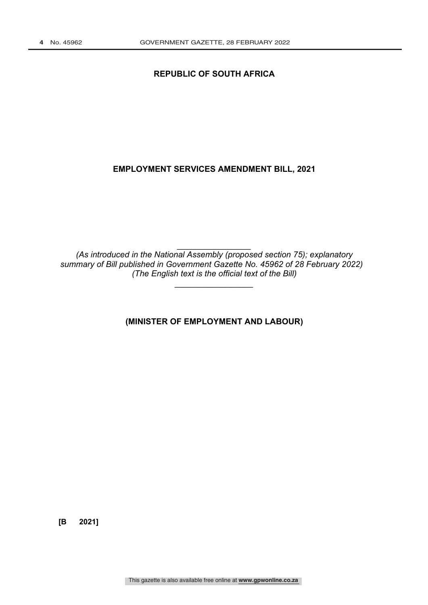# **REPUBLIC OF SOUTH AFRICA**

# **EMPLOYMENT SERVICES AMENDMENT BILL, 2021**

*(As introduced in the National Assembly (proposed section 75); explanatory summary of Bill published in Government Gazette No. 45962 of 28 February 2022) (The English text is the official text of the Bill)* 

*\_\_\_\_\_\_\_\_\_\_\_\_\_\_\_\_\_* 

*\_\_\_\_\_\_\_\_\_\_\_\_\_\_\_\_* 

**(MINISTER OF EMPLOYMENT AND LABOUR)** 

**[B 2021]**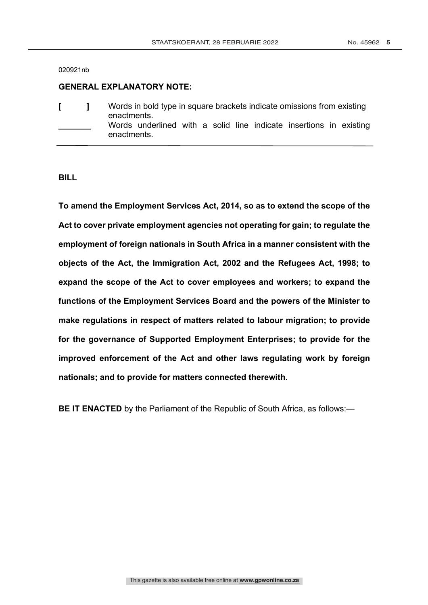020921nb

#### **GENERAL EXPLANATORY NOTE:**

|  | Words in bold type in square brackets indicate omissions from existing<br>enactments. |
|--|---------------------------------------------------------------------------------------|
|  | Words underlined with a solid line indicate insertions in existing<br>enactments.     |

**BILL**

**To amend the Employment Services Act, 2014, so as to extend the scope of the Act to cover private employment agencies not operating for gain; to regulate the employment of foreign nationals in South Africa in a manner consistent with the objects of the Act, the Immigration Act, 2002 and the Refugees Act, 1998; to expand the scope of the Act to cover employees and workers; to expand the functions of the Employment Services Board and the powers of the Minister to make regulations in respect of matters related to labour migration; to provide for the governance of Supported Employment Enterprises; to provide for the improved enforcement of the Act and other laws regulating work by foreign nationals; and to provide for matters connected therewith.**

**BE IT ENACTED** by the Parliament of the Republic of South Africa, as follows:—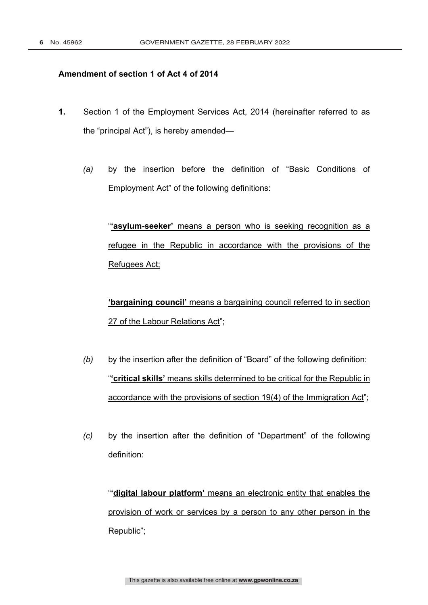# **Amendment of section 1 of Act 4 of 2014**

- **1.** Section 1 of the Employment Services Act, 2014 (hereinafter referred to as the "principal Act"), is hereby amended—
	- *(a)* by the insertion before the definition of "Basic Conditions of Employment Act" of the following definitions:

"**'asylum-seeker'** means a person who is seeking recognition as a refugee in the Republic in accordance with the provisions of the Refugees Act;

**'bargaining council'** means a bargaining council referred to in section 27 of the Labour Relations Act";

- *(b)* by the insertion after the definition of "Board" of the following definition: "**'critical skills'** means skills determined to be critical for the Republic in accordance with the provisions of section 19(4) of the Immigration Act";
- *(c)* by the insertion after the definition of "Department" of the following definition:

"**'digital labour platform'** means an electronic entity that enables the provision of work or services by a person to any other person in the Republic";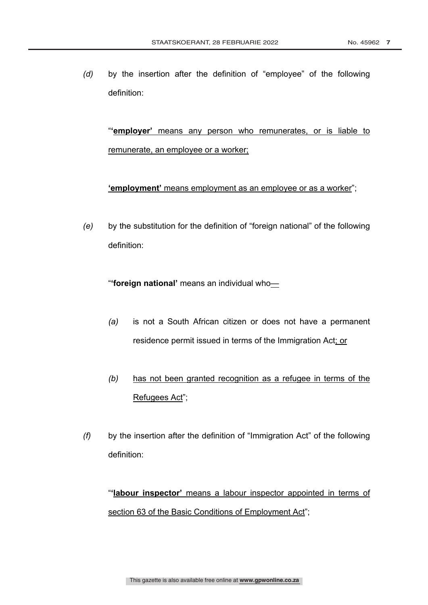*(d)* by the insertion after the definition of "employee" of the following definition:

"**'employer'** means any person who remunerates, or is liable to remunerate, an employee or a worker;

**'employment'** means employment as an employee or as a worker";

*(e)* by the substitution for the definition of "foreign national" of the following definition:

"**'foreign national'** means an individual who—

- *(a)* is not a South African citizen or does not have a permanent residence permit issued in terms of the Immigration Act; or
- *(b)* has not been granted recognition as a refugee in terms of the Refugees Act";
- *(f)* by the insertion after the definition of "Immigration Act" of the following definition:

"**'labour inspector'** means a labour inspector appointed in terms of section 63 of the Basic Conditions of Employment Act";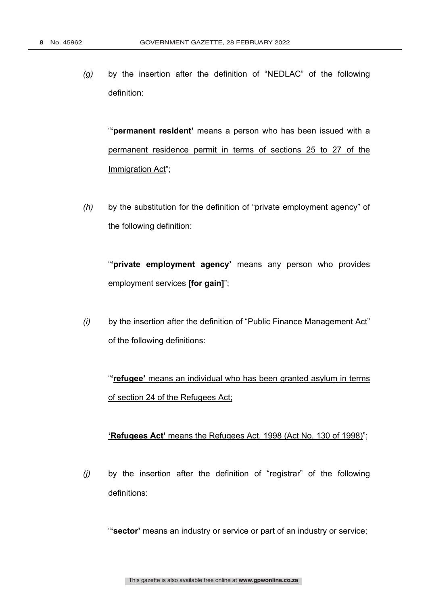*(g)* by the insertion after the definition of "NEDLAC" of the following definition:

"**'permanent resident'** means a person who has been issued with a permanent residence permit in terms of sections 25 to 27 of the Immigration Act";

*(h)* by the substitution for the definition of "private employment agency" of the following definition:

"**'private employment agency'** means any person who provides employment services **[for gain]**";

*(i)* by the insertion after the definition of "Public Finance Management Act" of the following definitions:

"**'refugee'** means an individual who has been granted asylum in terms of section 24 of the Refugees Act;

# **'Refugees Act'** means the Refugees Act, 1998 (Act No. 130 of 1998)";

*(j)* by the insertion after the definition of "registrar" of the following definitions:

"**'sector'** means an industry or service or part of an industry or service;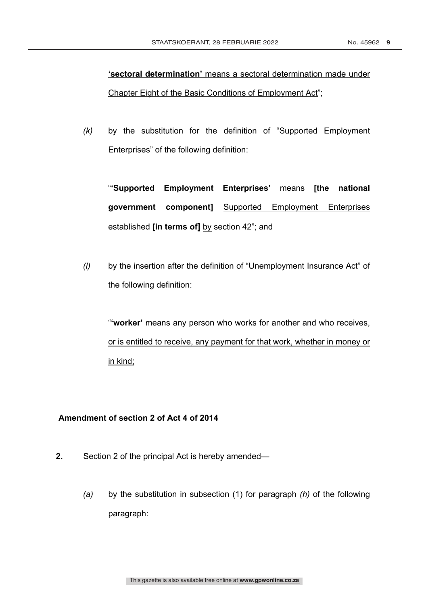**'sectoral determination'** means a sectoral determination made under Chapter Eight of the Basic Conditions of Employment Act";

*(k)* by the substitution for the definition of "Supported Employment Enterprises" of the following definition:

"**'Supported Employment Enterprises'** means **[the national government component]** Supported Employment Enterprises established **[in terms of]** by section 42"; and

*(l)* by the insertion after the definition of "Unemployment Insurance Act" of the following definition:

"**'worker'** means any person who works for another and who receives, or is entitled to receive, any payment for that work, whether in money or in kind;

# **Amendment of section 2 of Act 4 of 2014**

- **2.** Section 2 of the principal Act is hereby amended—
	- *(a)* by the substitution in subsection (1) for paragraph *(h)* of the following paragraph: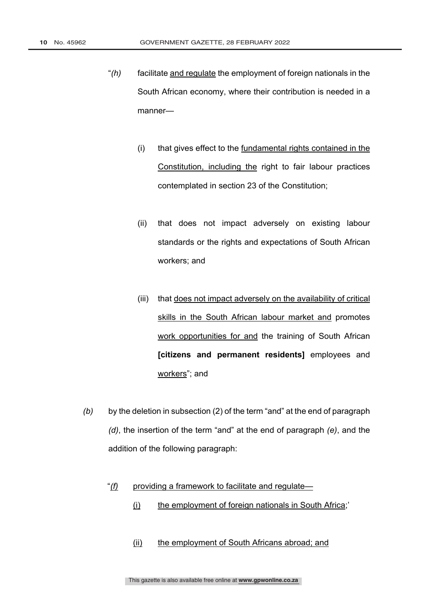- "*(h)* facilitate and regulate the employment of foreign nationals in the South African economy, where their contribution is needed in a manner—
	- (i) that gives effect to the fundamental rights contained in the Constitution, including the right to fair labour practices contemplated in section 23 of the Constitution;
	- (ii) that does not impact adversely on existing labour standards or the rights and expectations of South African workers; and
	- (iii) that does not impact adversely on the availability of critical skills in the South African labour market and promotes work opportunities for and the training of South African **[citizens and permanent residents]** employees and workers"; and
- *(b)* by the deletion in subsection (2) of the term "and" at the end of paragraph *(d)*, the insertion of the term "and" at the end of paragraph *(e)*, and the addition of the following paragraph:

### "*(f)* providing a framework to facilitate and regulate—

- (i) the employment of foreign nationals in South Africa;'
- (ii) the employment of South Africans abroad; and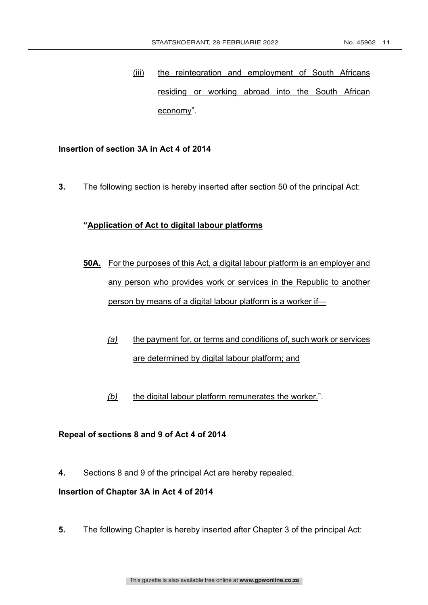(iii) the reintegration and employment of South Africans residing or working abroad into the South African economy".

### **Insertion of section 3A in Act 4 of 2014**

**3.** The following section is hereby inserted after section 50 of the principal Act:

# **"Application of Act to digital labour platforms**

- **50A.** For the purposes of this Act, a digital labour platform is an employer and any person who provides work or services in the Republic to another person by means of a digital labour platform is a worker if—
	- *(a)* the payment for, or terms and conditions of, such work or services are determined by digital labour platform; and
	- *(b)* the digital labour platform remunerates the worker.".

#### **Repeal of sections 8 and 9 of Act 4 of 2014**

**4.** Sections 8 and 9 of the principal Act are hereby repealed.

# **Insertion of Chapter 3A in Act 4 of 2014**

**5.** The following Chapter is hereby inserted after Chapter 3 of the principal Act: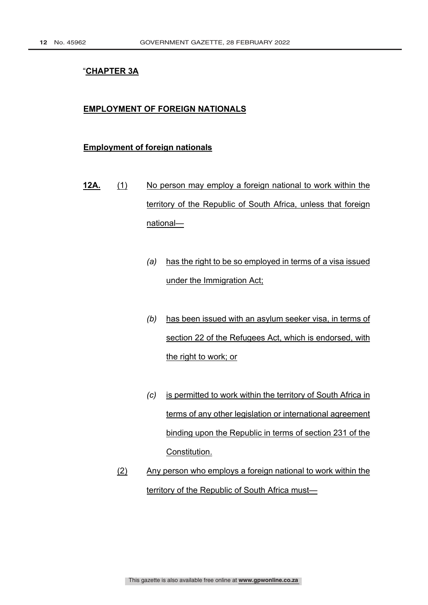# "**CHAPTER 3A**

#### **EMPLOYMENT OF FOREIGN NATIONALS**

#### **Employment of foreign nationals**

- **12A.** (1) No person may employ a foreign national to work within the territory of the Republic of South Africa, unless that foreign national—
	- *(a)* has the right to be so employed in terms of a visa issued under the Immigration Act;
	- *(b)* has been issued with an asylum seeker visa, in terms of section 22 of the Refugees Act, which is endorsed, with the right to work; or
	- *(c)* is permitted to work within the territory of South Africa in terms of any other legislation or international agreement binding upon the Republic in terms of section 231 of the Constitution.
	- (2) Any person who employs a foreign national to work within the territory of the Republic of South Africa must—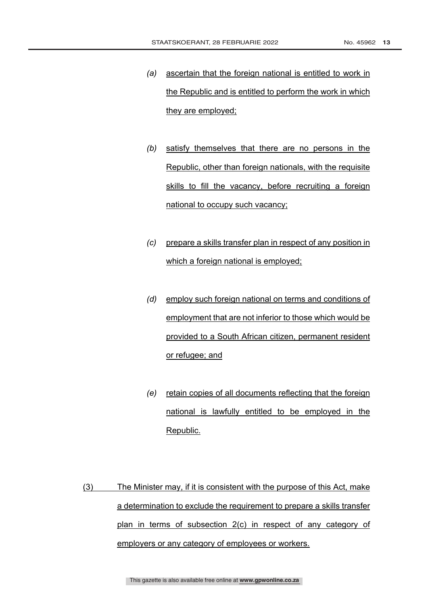- *(a)* ascertain that the foreign national is entitled to work in the Republic and is entitled to perform the work in which they are employed;
- *(b)* satisfy themselves that there are no persons in the Republic, other than foreign nationals, with the requisite skills to fill the vacancy, before recruiting a foreign national to occupy such vacancy;
- *(c)* prepare a skills transfer plan in respect of any position in which a foreign national is employed;
- *(d)* employ such foreign national on terms and conditions of employment that are not inferior to those which would be provided to a South African citizen, permanent resident or refugee; and
- *(e)* retain copies of all documents reflecting that the foreign national is lawfully entitled to be employed in the Republic.

(3) The Minister may, if it is consistent with the purpose of this Act, make a determination to exclude the requirement to prepare a skills transfer plan in terms of subsection 2(c) in respect of any category of employers or any category of employees or workers.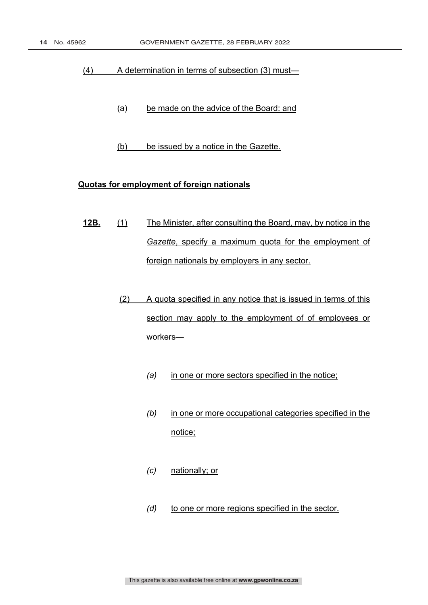#### (4) A determination in terms of subsection (3) must—

- (a) be made on the advice of the Board: and
- (b) be issued by a notice in the Gazette.

# **Quotas for employment of foreign nationals**

- **12B.** (1) The Minister, after consulting the Board, may, by notice in the *Gazette*, specify a maximum quota for the employment of foreign nationals by employers in any sector.
	- (2) A quota specified in any notice that is issued in terms of this section may apply to the employment of of employees or workers—
		- *(a)* in one or more sectors specified in the notice;
		- *(b)* in one or more occupational categories specified in the notice;
		- *(c)* nationally; or
		- *(d)* to one or more regions specified in the sector.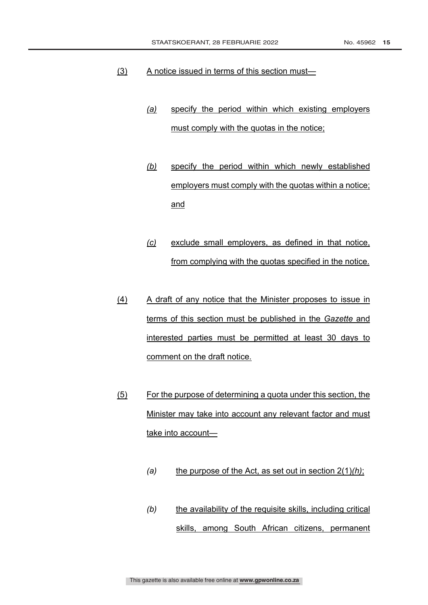- (3) A notice issued in terms of this section must—
	- *(a)* specify the period within which existing employers must comply with the quotas in the notice;
	- *(b)* specify the period within which newly established employers must comply with the quotas within a notice; and
	- *(c)* exclude small employers, as defined in that notice, from complying with the quotas specified in the notice.
- (4) A draft of any notice that the Minister proposes to issue in terms of this section must be published in the *Gazette* and interested parties must be permitted at least 30 days to comment on the draft notice.
- (5) For the purpose of determining a quota under this section, the Minister may take into account any relevant factor and must take into account—
	- *(a)* the purpose of the Act, as set out in section 2(1)*(h)*;
	- *(b)* the availability of the requisite skills, including critical skills, among South African citizens, permanent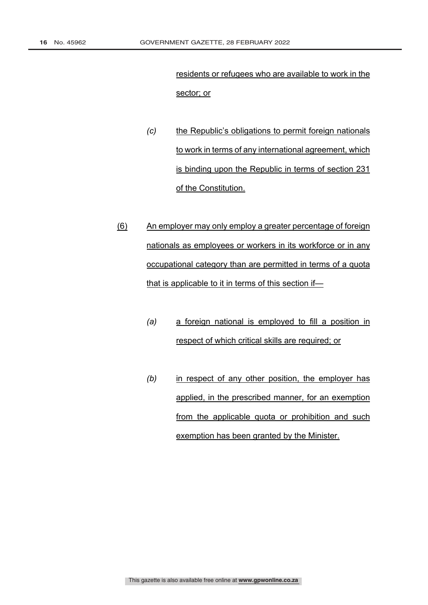residents or refugees who are available to work in the sector; or

- *(c)* the Republic's obligations to permit foreign nationals to work in terms of any international agreement, which is binding upon the Republic in terms of section 231 of the Constitution.
- (6) An employer may only employ a greater percentage of foreign nationals as employees or workers in its workforce or in any occupational category than are permitted in terms of a quota that is applicable to it in terms of this section if—
	- *(a)* a foreign national is employed to fill a position in respect of which critical skills are required; or
	- *(b)* in respect of any other position, the employer has applied, in the prescribed manner, for an exemption from the applicable quota or prohibition and such exemption has been granted by the Minister.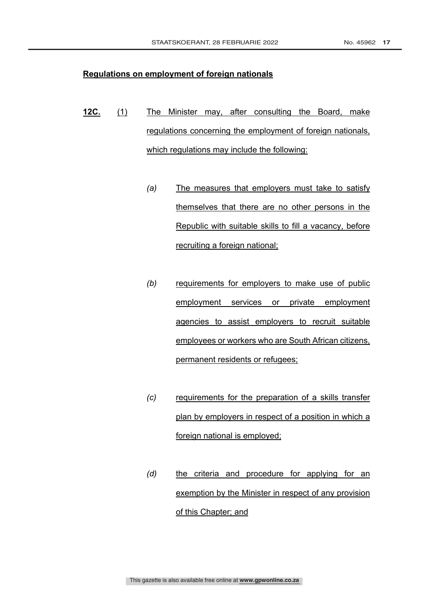#### **Regulations on employment of foreign nationals**

- **12C.** (1) The Minister may, after consulting the Board, make regulations concerning the employment of foreign nationals, which regulations may include the following:
	- *(a)* The measures that employers must take to satisfy themselves that there are no other persons in the Republic with suitable skills to fill a vacancy, before recruiting a foreign national;
	- *(b)* requirements for employers to make use of public employment services or private employment agencies to assist employers to recruit suitable employees or workers who are South African citizens, permanent residents or refugees;
	- *(c)* requirements for the preparation of a skills transfer plan by employers in respect of a position in which a foreign national is employed;
	- *(d)* the criteria and procedure for applying for an exemption by the Minister in respect of any provision of this Chapter; and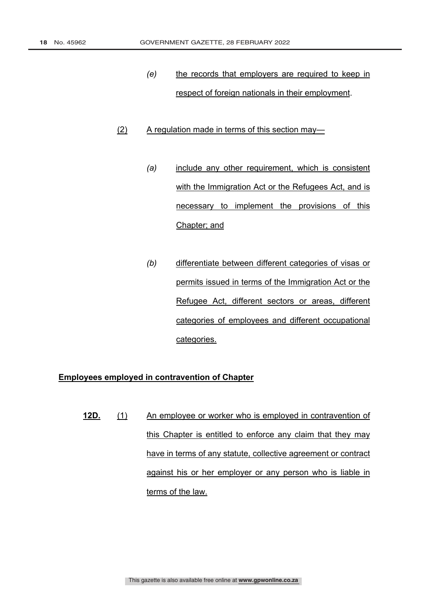- *(e)* the records that employers are required to keep in respect of foreign nationals in their employment.
- (2) A regulation made in terms of this section may—
	- *(a)* include any other requirement, which is consistent with the Immigration Act or the Refugees Act, and is necessary to implement the provisions of this Chapter; and
	- *(b)* differentiate between different categories of visas or permits issued in terms of the Immigration Act or the Refugee Act, different sectors or areas, different categories of employees and different occupational categories.

# **Employees employed in contravention of Chapter**

**12D.** (1) An employee or worker who is employed in contravention of this Chapter is entitled to enforce any claim that they may have in terms of any statute, collective agreement or contract against his or her employer or any person who is liable in terms of the law.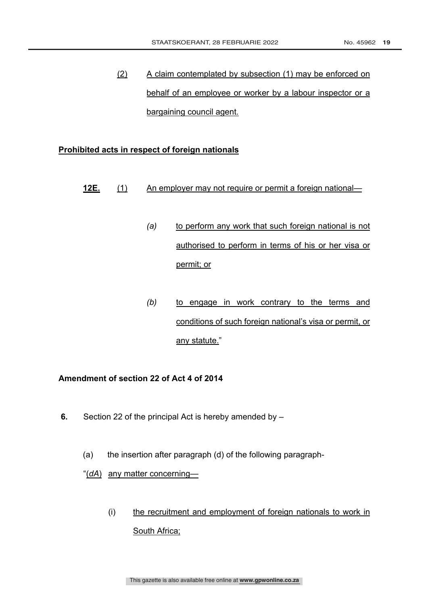(2) A claim contemplated by subsection (1) may be enforced on behalf of an employee or worker by a labour inspector or a bargaining council agent.

#### **Prohibited acts in respect of foreign nationals**

- **12E.** (1) An employer may not require or permit a foreign national—
	- *(a)* to perform any work that such foreign national is not authorised to perform in terms of his or her visa or permit; or
	- *(b)* to engage in work contrary to the terms and conditions of such foreign national's visa or permit, or any statute."

# **Amendment of section 22 of Act 4 of 2014**

- **6.** Section 22 of the principal Act is hereby amended by
	- (a) the insertion after paragraph (d) of the following paragraph-

"(*dA*) any matter concerning—

(i) the recruitment and employment of foreign nationals to work in South Africa;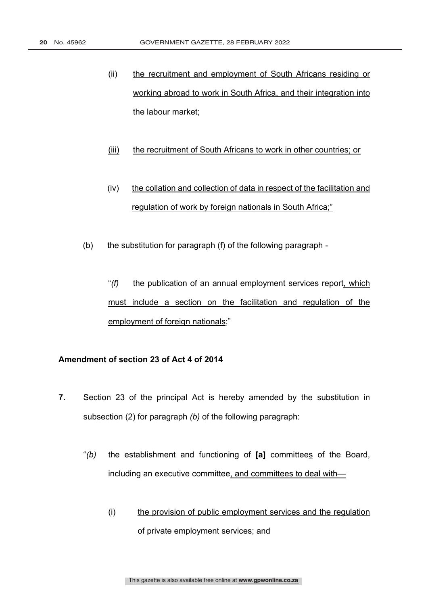- (ii) the recruitment and employment of South Africans residing or working abroad to work in South Africa, and their integration into the labour market;
- (iii) the recruitment of South Africans to work in other countries; or
- (iv) the collation and collection of data in respect of the facilitation and regulation of work by foreign nationals in South Africa;"
- (b) the substitution for paragraph (f) of the following paragraph
	- "*(f)* the publication of an annual employment services report, which must include a section on the facilitation and regulation of the employment of foreign nationals;"

# **Amendment of section 23 of Act 4 of 2014**

- **7.** Section 23 of the principal Act is hereby amended by the substitution in subsection (2) for paragraph *(b)* of the following paragraph:
	- "*(b)* the establishment and functioning of **[a]** committees of the Board, including an executive committee, and committees to deal with—
		- (i) the provision of public employment services and the regulation of private employment services; and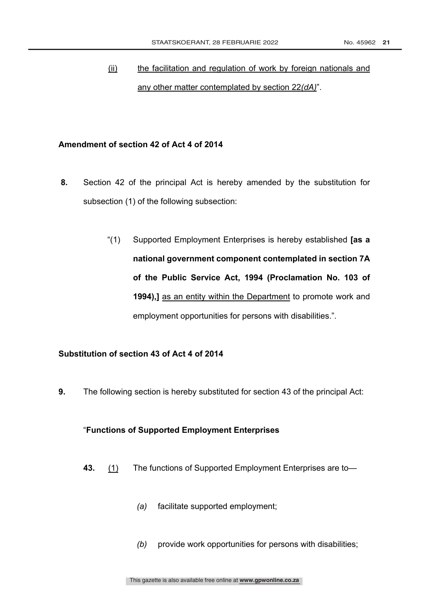# (ii) the facilitation and regulation of work by foreign nationals and any other matter contemplated by section 22*(dA)*".

#### **Amendment of section 42 of Act 4 of 2014**

- **8.** Section 42 of the principal Act is hereby amended by the substitution for subsection (1) of the following subsection:
	- "(1) Supported Employment Enterprises is hereby established **[as a national government component contemplated in section 7A of the Public Service Act, 1994 (Proclamation No. 103 of 1994),]** as an entity within the Department to promote work and employment opportunities for persons with disabilities.".

# **Substitution of section 43 of Act 4 of 2014**

**9.** The following section is hereby substituted for section 43 of the principal Act:

#### "**Functions of Supported Employment Enterprises**

- **43.** (1) The functions of Supported Employment Enterprises are to—
	- *(a)* facilitate supported employment;
	- *(b)* provide work opportunities for persons with disabilities;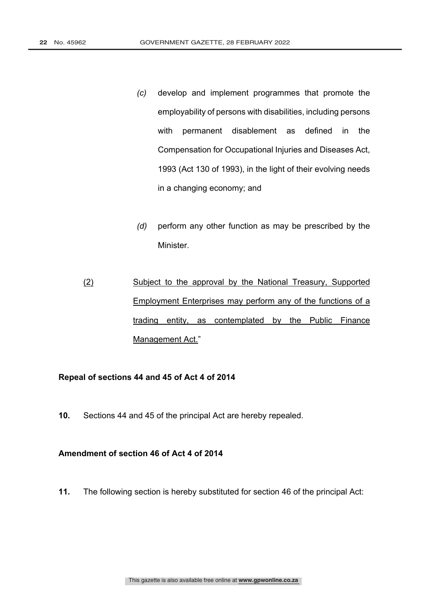- *(c)* develop and implement programmes that promote the employability of persons with disabilities, including persons with permanent disablement as defined in the Compensation for Occupational Injuries and Diseases Act, 1993 (Act 130 of 1993), in the light of their evolving needs in a changing economy; and
- *(d)* perform any other function as may be prescribed by the Minister.
- (2) Subject to the approval by the National Treasury, Supported Employment Enterprises may perform any of the functions of a trading entity, as contemplated by the Public Finance Management Act."

#### **Repeal of sections 44 and 45 of Act 4 of 2014**

**10.** Sections 44 and 45 of the principal Act are hereby repealed.

# **Amendment of section 46 of Act 4 of 2014**

**11.** The following section is hereby substituted for section 46 of the principal Act: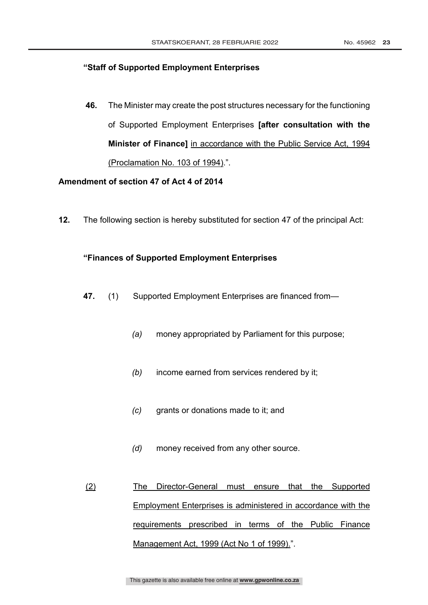#### **"Staff of Supported Employment Enterprises**

**46.** The Minister may create the post structures necessary for the functioning of Supported Employment Enterprises **[after consultation with the Minister of Finance]** in accordance with the Public Service Act, 1994 (Proclamation No. 103 of 1994).".

# **Amendment of section 47 of Act 4 of 2014**

**12.** The following section is hereby substituted for section 47 of the principal Act:

#### **"Finances of Supported Employment Enterprises**

- **47.** (1) Supported Employment Enterprises are financed from—
	- *(a)* money appropriated by Parliament for this purpose;
	- *(b)* income earned from services rendered by it;
	- *(c)* grants or donations made to it; and
	- *(d)* money received from any other source.
- (2) The Director-General must ensure that the Supported Employment Enterprises is administered in accordance with the requirements prescribed in terms of the Public Finance Management Act, 1999 (Act No 1 of 1999).".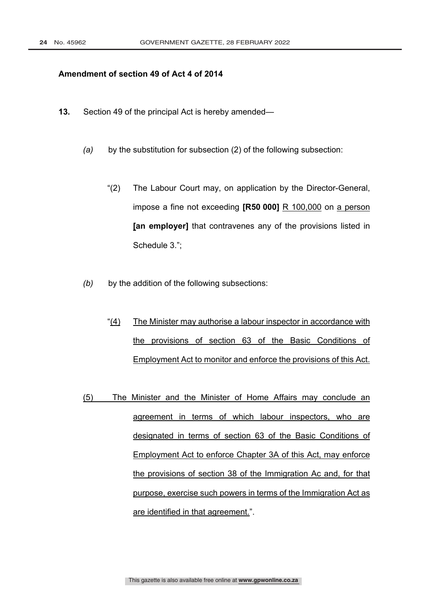#### **Amendment of section 49 of Act 4 of 2014**

- **13.** Section 49 of the principal Act is hereby amended—
	- *(a)* by the substitution for subsection (2) of the following subsection:
		- "(2) The Labour Court may, on application by the Director-General, impose a fine not exceeding **[R50 000]** R 100,000 on a person **[an employer]** that contravenes any of the provisions listed in Schedule 3.";
	- *(b)* by the addition of the following subsections:
		- "(4) The Minister may authorise a labour inspector in accordance with the provisions of section 63 of the Basic Conditions of Employment Act to monitor and enforce the provisions of this Act.
	- (5) The Minister and the Minister of Home Affairs may conclude an agreement in terms of which labour inspectors, who are designated in terms of section 63 of the Basic Conditions of Employment Act to enforce Chapter 3A of this Act, may enforce the provisions of section 38 of the Immigration Ac and, for that purpose, exercise such powers in terms of the Immigration Act as are identified in that agreement.".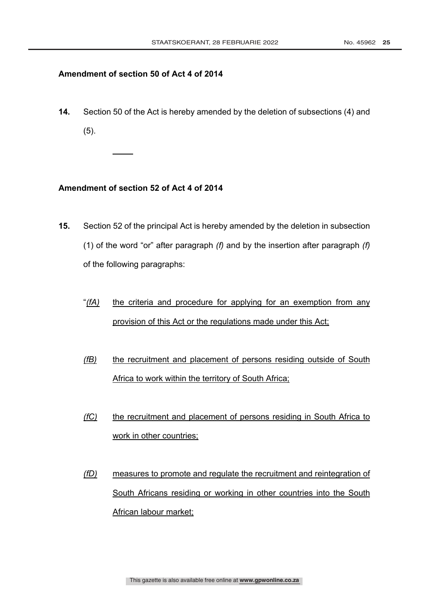# **Amendment of section 50 of Act 4 of 2014**

**14.** Section 50 of the Act is hereby amended by the deletion of subsections (4) and (5).

# **Amendment of section 52 of Act 4 of 2014**

- **15.** Section 52 of the principal Act is hereby amended by the deletion in subsection (1) of the word "or" after paragraph *(f)* and by the insertion after paragraph *(f)* of the following paragraphs:
	- "(fA) the criteria and procedure for applying for an exemption from any provision of this Act or the regulations made under this Act;
	- *(fB)* the recruitment and placement of persons residing outside of South Africa to work within the territory of South Africa;
	- *(fC)* the recruitment and placement of persons residing in South Africa to work in other countries;
	- *(fD)* measures to promote and regulate the recruitment and reintegration of South Africans residing or working in other countries into the South African labour market;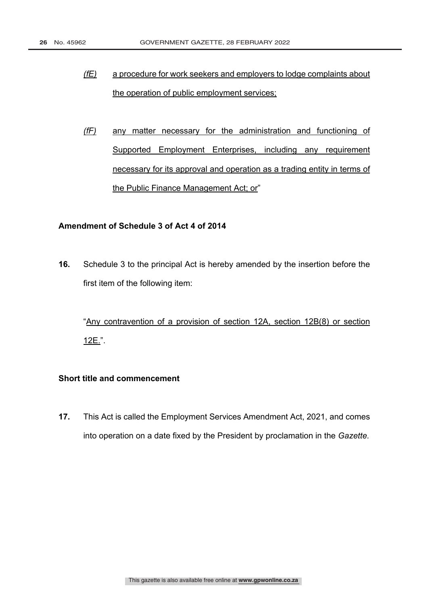- *(fE)* a procedure for work seekers and employers to lodge complaints about the operation of public employment services;
- *(fF)* any matter necessary for the administration and functioning of Supported Employment Enterprises, including any requirement necessary for its approval and operation as a trading entity in terms of the Public Finance Management Act; or"

# **Amendment of Schedule 3 of Act 4 of 2014**

**16.** Schedule 3 to the principal Act is hereby amended by the insertion before the first item of the following item:

"Any contravention of a provision of section 12A, section 12B(8) or section 12E.".

# **Short title and commencement**

**17.** This Act is called the Employment Services Amendment Act, 2021, and comes into operation on a date fixed by the President by proclamation in the *Gazette.*